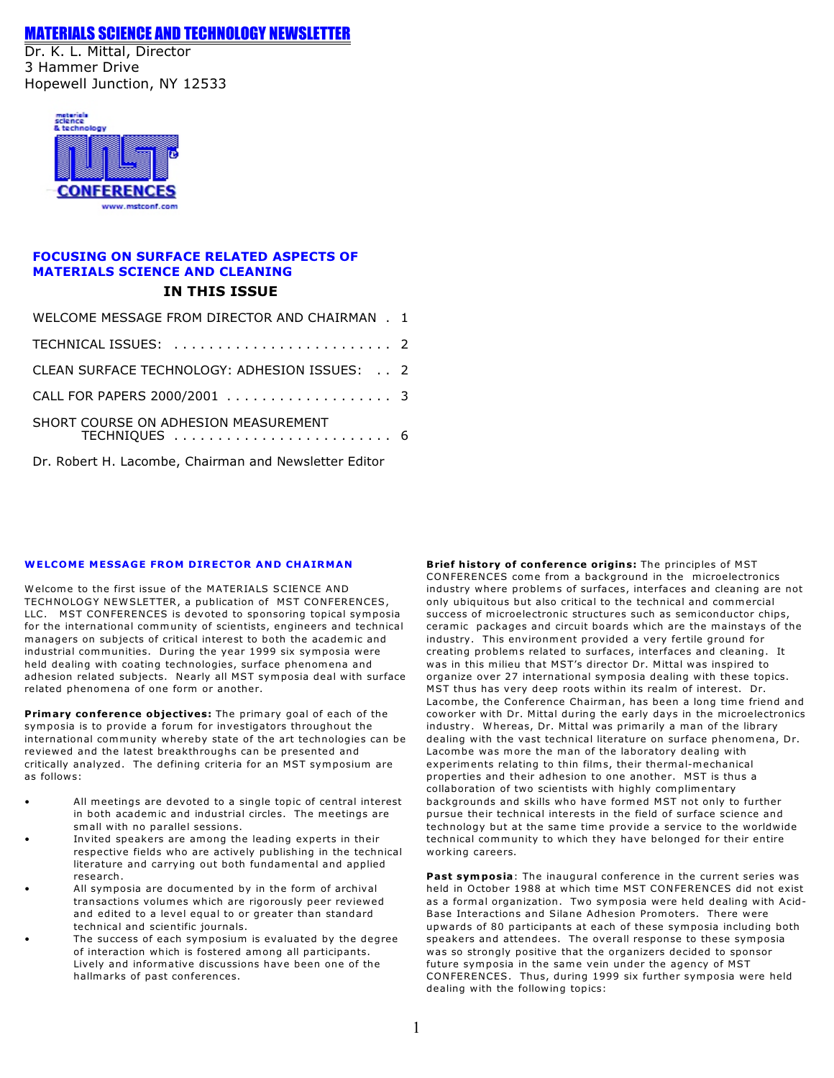# *MATERIALS SCIENCE AND TECHNOLOGY NEWSLETTER*

Dr. K. L. Mittal, Director 3 Hammer Drive Hopewell Junction, NY 12533



# **FOCUSING ON SURFACE RELATED ASPECTS OF MATERIALS SCIENCE AND CLEANING IN THIS ISSUE**

| WELCOME MESSAGE FROM DIRECTOR AND CHAIRMAN . 1        |  |
|-------------------------------------------------------|--|
|                                                       |  |
| CLEAN SURFACE TECHNOLOGY: ADHESION ISSUES: 2          |  |
|                                                       |  |
| SHORT COURSE ON ADHESION MEASUREMENT                  |  |
| Dr. Robert H. Lacombe, Chairman and Newsletter Editor |  |

# **WELCOME MESSAGE FROM DIRECTOR AND CHAIRMAN**

Welcome to the first issue of the MATERIALS SCIENCE AND TECHNOLOGY NEWSLETTER, a publication of MST CONFERENCES, LLC. MST CONFERENCES is devoted to sponsoring topical symposia for the international community of scientists, engineers and technical managers on subjects of critical interest to both the academic and industrial communities. During the year 1999 six symposia were held dealing with coating technologies, surface phenomena and adhesion related subjects. Nearly all MST symposia deal with surface related phenomena of one form or another.

**Primary conference objectives:** The primary goal of each of the symposia is to provide a forum for investigators throughout the in ternational community whereby state of the art technologies can be reviewed and the latest breakthroughs can be presented and critically analyzed. The defining criteria for an MST symposium are as follows:

- All meetings are devoted to a single topic of central interest in both academic and industrial circles. The meetings are small with no parallel sessions.
- Invited speakers are among the leading experts in their respective fields who are actively publishing in the technical literature and carrying out both fundamental and applied research .
- All symposia are documented by in the form of archival transactions volumes which are rigorously peer reviewed and edited to a level equal to or greater than standard technical and scientific journals.
- The success of each symposium is evaluated by the degree of interaction which is fostered among all participants. Lively and in formative discussions have been one of the hallmarks of past conferences.

**Brief history of conference origins:** The principles of MST CONFERENCES come from a background in the microelectronics industry where problems of surfaces, interfaces and cleaning are not only ubiquitous but also critical to the technical and commercial success of microelectronic structures such as semiconductor chips, ceramic packages and circuit boards which are the mainstays of the industry. This environment provided a very fertile ground for creating problems related to surfaces, interfaces and cleaning. It was in this milieu that MST's director Dr. Mittal was inspired to organize over 27 international symposia dealing with these topics. MST thus has very deep roots within its realm of interest. Dr. Lacombe, the Conference Chairman, has been a long time friend and coworker with Dr. Mittal during the early days in the microelectronics industry. Whereas, Dr. Mittal was primarily a man of the library dealing with the vast technical literature on surface phenomena, Dr. Lacombe was more the man of the laboratory dealing with experiments relating to thin films, their thermal-mechanical properties and their adhesion to one another. MST is thus a collaboration of two scientists with highly complimentary backgrounds and skills who have formed MST not only to further pursue their technical interests in the field of surface science and technology but at the same time provide a service to the worldwide technical community to which they have belonged for their entire working careers.

**Past symposia**: The inaugural conference in the current series was held in October 1988 at which time MST CONFERENCES did not exist as a formal organization. Two symposia were held dealing with Acid-Base Interactions and Silane Adhesion Promoters. There were upwards of 80 participants at each of these symposia including both speakers and attendees. The overall response to these symposia was so strongly positive that the organizers decided to sponsor future symposia in the same vein under the agency of MST CONFERENCES. Thus, during 1999 six further symposia were held dealing with the following topics: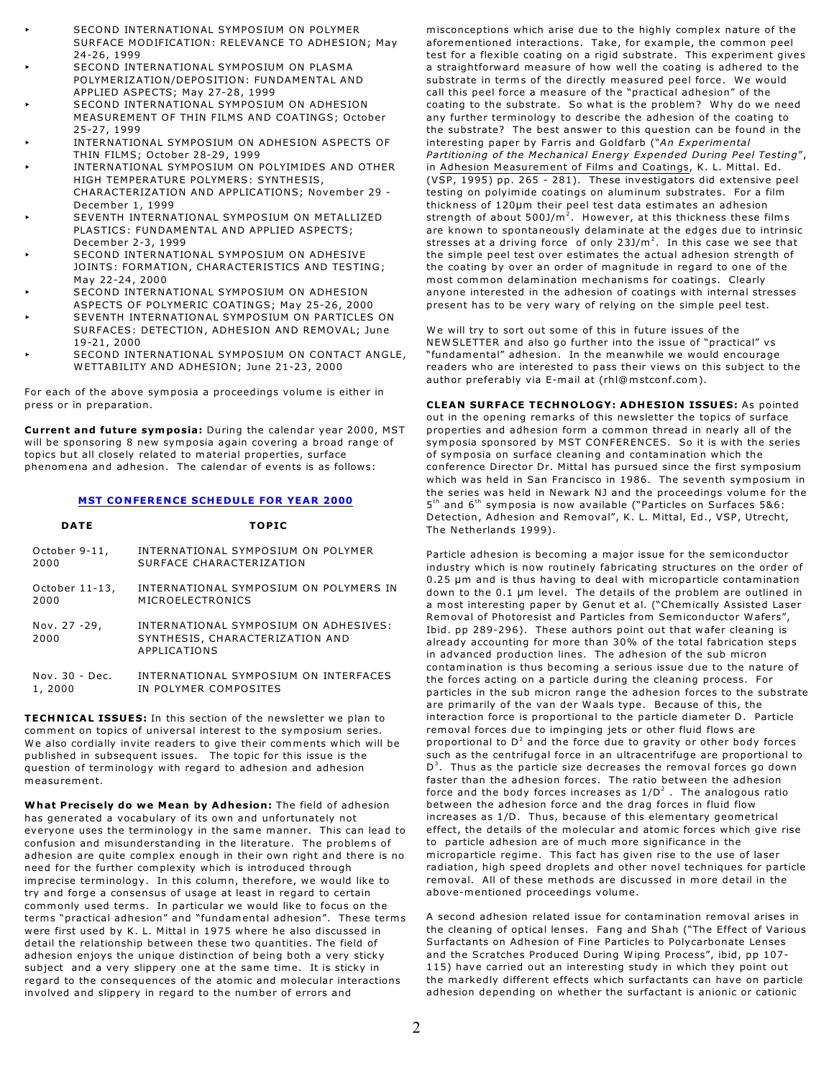- SECOND INTERNATIONAL SYMPOSIUM ON POLYMER SURFACE MODIFICATION: RELEVANCE TO ADHESION; May 24-26, 1999
- SECOND INTERNATIONAL SYMPOSIUM ON PLASMA POLYMERIZATION/DEPOSITION: FUNDAMENTAL AND APPLIED ASPECTS; May 27-28, 1999
- SECOND INTERNATIONAL SYMPOSIUM ON ADHESION MEASUREMENT OF THIN FILMS AND COATINGS; October 25-27, 1999
- INTERNATIONAL SYMPOSIUM ON ADHESION ASPECTS OF THIN FILMS; October 28-29, 1999
- INTERNATIONAL SYMPOSIUM ON POLYIMIDES AND OTHER HIGH TEMPERATURE POLYMERS: SYNTHESIS, CHARACTERIZATION AND APPLICATIONS; November 29 - December 1, 1999
- SEVENTH INTERNATIONAL SYMPOSIUM ON METALLIZED PLASTICS: FUNDAMENTAL AND APPLIED ASPECTS; December 2-3 , 1999
- SECOND INTERNATIONAL SYMPOSIUM ON ADHESIVE JO INTS : FORMATION, CHARACTERISTICS AND TESTING; May 22-24, 2000
- SECOND INTERNATIONAL SYMPOSIUM ON ADHESION
- ASPECTS OF POLYMERIC COATINGS; May 25-26, 2000 SEVENTH INTERNATIONAL SYMPOSIUM ON PARTICLES ON SURFACES: DETECTION, ADHESION AND REMOVAL; June 19-21, 2000
- SECOND INTERNATIONAL SYMPOSIUM ON CONTACT ANGLE, WETTABILITY AND ADHESION; June 21-23, 2000

For each of the above symposia a proceedings volume is either in press or in preparation.

**Current and future symposia:** During the calendar year 2000, MST will be sponsoring 8 new symposia again covering a broad range of topics but all closely related to material properties, surface phenomena and adhesion. The calendar of events is as follows:

#### **MST CONFERENCE SCHEDULE FOR YEAR 2000**

| <b>DATE</b>          | <b>TOPIC</b>                                                                             |
|----------------------|------------------------------------------------------------------------------------------|
| October 9-11,        | INTERNATIONAL SYMPOSIUM ON POLYMER                                                       |
| 2000                 | SURFACE CHARACTERIZATION                                                                 |
| October 11-13,       | INTERNATIONAL SYMPOSIUM ON POLYMERS IN                                                   |
| 2000                 | MICROELECTRONICS                                                                         |
| Nov. 27 -29,<br>2000 | INTERNATIONAL SYMPOSIUM ON ADHESIVES:<br>SYNTHESIS, CHARACTERIZATION AND<br>APPLICATIONS |
| $Nov. 30 - Dec.$     | INTERNATIONAL SYMPOSIUM ON INTERFACES                                                    |
| 1,2000               | IN POLYMER COMPOSITES                                                                    |

**TECHNICAL ISSUES:** In this section of the newsletter we plan to comment on topics of universal interest to the symposium series. We also cordially invite readers to give their comments which will be published in subsequent issues. The topic for this issue is the question of terminology with regard to adhesion and adhesion measurement.

**What Precisely do we Mean by Adhesion:** The field of adhesion has generated a vocabulary of its own and unfortunately not everyone uses the terminology in the same manner. This can lead to confusion and misunderstanding in the literature. The problems of adhesion are quite complex enough in their own right and there is no need for the further complexity which is introduced through imprecise terminology. In this column, therefore, we would like to try and forge a consensus of usage at least in regard to certain commonly used terms. In particular we would like to focus on the terms "practical adhesion" and "fundamental adhesion". These terms were first used by K. L. Mittal in 1975 where he also discussed in detail the relationship between these two quantities. The field of adhesion enjoys the unique distinction of being both a very sticky subject and a very slippery one at the same time. It is sticky in regard to the consequences of the atomic and molecular interactions involved and slippery in regard to the number of errors and

misconceptions which arise due to the highly complex nature of the aforementioned interactions. Take, for example, the common peel test for a flexible coating on a rigid substrate. This experiment gives a straightforward measure of how well the coating is adhered to the substrate in terms of the directly measured peel force. We would call this peel force a measure of the "practical adhesion" of the coating to the substrate. So what is the problem? Why do we need any further terminology to describe the adhesion of the coating to the substrate? The best answer to this question can be found in the interesting paper by Farris and Goldfarb ("*An Experimental Partitioning of the Mechanical Energy Expended During Peel Testing*", in Adhesion Measurement of Films and Coatings, K. L. Mittal. Ed . (VSP, 1995) pp. 265 - 281). These investigators did extensive peel testing on polyimide coatings on aluminum substrates. For a film thickness of 120µm their peel test data estimates an adhesion strength of about 500J/m $^2$ . However, at this thickness these films are known to spontaneously delaminate at the edges due to intrinsic stresses at a driving force of only  $23J/m<sup>2</sup>$ . In this case we see that the simple peel test over estimates the actual adhesion strength of the coating by over an order of magnitude in regard to one of the most common delamination mechanisms for coatings. Clearly anyone interested in the adhesion of coatings with internal stresses present has to be very wary of relying on the simple peel test.

We will try to sort out some of this in future issues of the NEWSLETTER and also go further into the issue of "practical" vs "fundamental" adhesion. In the meanwhile we would encourage readers who are interested to pass their views on this subject to the author preferably via E-mail at (rhl@mstconf.com).

**CLEAN SURFACE TECHNOLOGY: ADHESION ISSUES:** As pointed out in the opening remarks of this newsletter the topics of surface properties and adhesion form a common thread in nearly all of the symposia sponsored by MST CONFERENCES. So it is with the series of symposia on surface cleaning and contamination which the conference Director Dr. Mittal has pursued since the first symposium which was held in San Francisco in 1986. The seventh symposium in the series was held in Newark NJ and the proceedings volume for the  $5<sup>th</sup>$  and  $6<sup>th</sup>$  symposia is now available ("Particles on Surfaces 5&6: Detection, Adhesion and Removal", K. L. Mittal, Ed., VSP, Utrecht, The Netherlands 1999).

Particle adhesion is becoming a major issue for the semiconductor industry which is now routinely fabricating structures on the order of  $0.25$   $\mu$ m and is thus having to deal with microparticle contamination down to the 0.1 µm level. The details of the problem are outlined in a most interesting paper by Genut et al. ("Chemically Assisted Laser Removal of Photoresist and Particles from Semiconductor Wafers", Ibid. pp 289-296). These authors point out that wafer cleaning is already accounting for more than 30% of the total fabrication steps in advanced production lines. The adhesion of the sub micron contamination is thus becoming a serious issue due to the nature of the forces acting on a particle during the cleaning process. For particles in the sub micron range the adhesion forces to the substrate are primarily of the van der Waals type. Because of this, the interaction force is proportional to the particle diameter D. Particle removal forces due to impinging jets or other fluid flows are proportional to  $D^2$  and the force due to gravity or other body forces such as the centrifugal force in an ultracentrifuge are proportional to  $D<sup>3</sup>$ . Thus as the particle size decreases the removal forces go down faster than the adhesion forces. The ratio between the adhesion force and the body forces increases as  $1/D^2$ . The analogous ratio between the adhesion force and the drag forces in fluid flow increases as 1/D. Thus, because of this elementary geometrical effect, the details of the molecular and atomic forces which give rise to particle adhesion are of much more significance in the microparticle regime. This fact has given rise to the use of laser radiation, high speed droplets and other novel techniques for particle removal. All of these methods are discussed in more detail in the above-mentioned proceedings volume .

A second adhesion related issue for contamination removal arises in the cleaning of optical lenses. Fang and Shah ("The Effect of Various Surfactants on Adhesion of Fine Particles to Polycarbonate Lenses and the Scratches Produced During Wiping Process", ibid, pp 107-115) have carried out an interesting study in which they point out the markedly different effects which surfactants can have on particle adhesion depending on whether the surfactant is anionic or cationic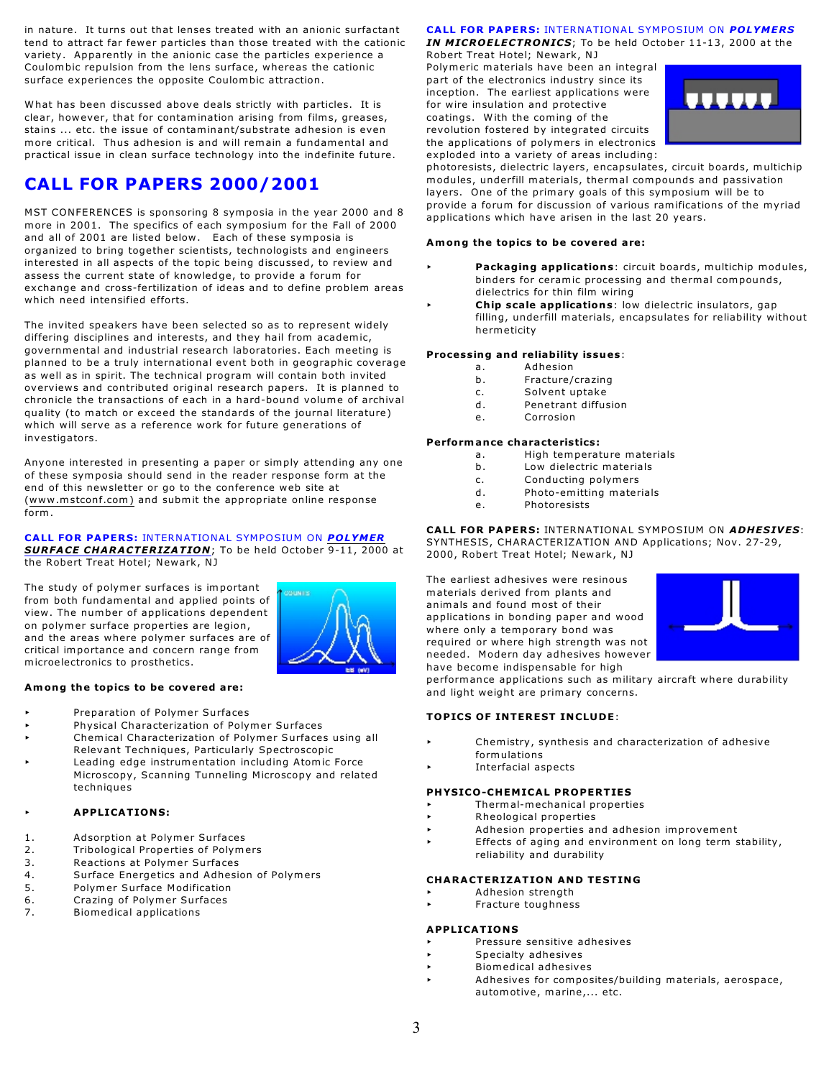in nature. It turns out that lenses treated with an anionic surfactant tend to attract far fewer particles than those treated with the cationic variety. Apparently in the anionic case the particles experience a Coulombic repulsion from the lens surface, whereas the cationic surface experiences the opposite Coulombic attraction.

What has been discussed above deals strictly with particles. It is clear, however, that for contamination arising from films, greases, stains ... etc. the issue of contaminant/substrate adhesion is even more critical. Thus adhesion is and will remain a fundamental and practical issue in clean surface technology into the indefinite future .

# **CALL FOR PAPERS 2000/2001**

MST CONFERENCES is sponsoring 8 symposia in the year 2000 and 8 more in 2001. The specifics of each symposium for the Fall of 2000 and all of 2001 are listed below. Each of these symposia is organized to bring together scientists, technologists and engineers interested in all aspects of the topic being discussed, to review and assess the current state of knowledge, to provide a forum for exchange and cross-fertilization of ideas and to define problem areas which need intensified efforts.

The invited speakers have been selected so as to represent widely differing disciplines and interests, and they hail from academic, governmental and industrial research laboratories. Each meeting is planned to be a truly international event both in geographic coverage as well as in spirit. The technical program will contain both invited overviews and contributed original research papers. It is planned to chronicle the transactions of each in a hard-bound volume of archival quality (to match or exceed the standards of the journal literature) which will serve as a reference work for future generations of investigators.

Anyone interested in presenting a paper or simply attending any one of these symposia should send in the reader response form at the end of this newsletter or go to the conference web site at [\(www.mstconf.com\)](http://(www.mstconf.com)) and submit the appropriate online response form .

#### CALL FOR PAPERS: INTERNATIONAL SYMPOSIUM ON POLYMER *SURFA CE CHARACTER IZATION*; To be held October 9-11, 2000 at the Robert Treat Hotel; Newark, NJ

The study of polymer surfaces is important from both fundamental and applied points of view. The number of applications dependent on polymer surface properties are legion, and the areas where polymer surfaces are of critical importance and concern range from microelectronics to prosthetics.



# **Among the topics to be covered are:**

- < Preparation of Polymer Surfaces
- < Physical Characterization of Polymer Surfaces
- < Chemical Characterization of Polymer Surfaces using all Relevant Techniques, Particularly Spectroscopic
- Leading edge instrumentation including Atomic Force
- Microscopy, Scanning Tunneling Microscopy and related techniques

# < **APPLICATIONS:**

- 1. Adsorption at Polymer Surfaces
- 2. Tribological Properties of Polymers
- 3. Reactions at Polymer Surfaces
- 4. Surface Energetics and Adhesion of Polymers
- 5. Polymer Surface Modification
- 6. Crazing of Polymer Surfaces<br>7 . Biomedical annications
- Biomedical applications

# **CALL FOR PAPERS: INTERNATIONAL SYMPOSIUM ON POLYMERS** *IN MICROELECTRONICS*; To be held October 11-13, 2000 at the

Robert Treat Hotel; Newark, NJ Polymeric materials have been an integral part of the electronics industry since its inception. The earliest applications were for wire insulation and protective coatings. With the coming of the revolution fostered by integrated circuits the applications of polymers in electronics exploded into a variety of areas including:



photoresists, dielectric layers, encapsulates, circuit boards, multichip modules, underfill materials, thermal compounds and passivation layers. One of the primary goals of this symposium will be to provide a forum for discussion of various ramifications of the myriad applications which have arisen in the last 20 years.

# **Among the topics to be covered are:**

- Packaging applications: circuit boards, multichip modules, binders for ceramic processing and thermal compounds, dielectrics for thin film wiring
- Chip scale applications: low dielectric insulators, gap filling, underfill materials, encapsulates for reliability without hermeticity

# **Processing and re liability issues**:

- a. Adhesion
- b. Fracture/crazing
- c. Solvent uptake
- d. Penetrant diffusion
- e. Corrosion

# **Performance characteristics :**

- a. High temperature materials
- b. Low dielectric materials
- c. Conducting polymers
- d. Photo-emitting materials
- e. Photoresists

CALL FOR PAPERS: INTERNATIONAL SYMPOSIUM ON *ADHESIVES*: SYNTHESIS, CHARACTERIZATION AND Applications; Nov. 27-29, 2000, Robert Treat Hotel; Newark, NJ

The earliest adhesives were resinous materials derived from plants and animals and found most of their applications in bonding paper and wood where only a temporary bond was required or where high strength was not needed. Modern day adhesives however have become indispensable for high



performance applications such as military aircraft where durability and light weight are primary concerns.

# **TOPICS OF INTEREST INCLUDE**:

- Chemistry, synthesis and characterization of adhesive formulations
- < Interfacial aspects

# **PHYSICO-CHEMICAL PROPERTIES**

- < Thermal-mechanical properties
- < Rheological properties
- < Adhesion properties and adhesion improvement
- Effects of aging and environment on long term stability, reliability and durability

# **CHARACTERIZATION AND TESTING**

- < Adhesion strength
- < Fracture toughness

# **APPLICATIONS**

- < Pressure sensitive adhesives
- < Specialty adhesives
- < Biomedical adhesives
- Adhesives for composites/building materials, aerospace, automotive, marine,... etc.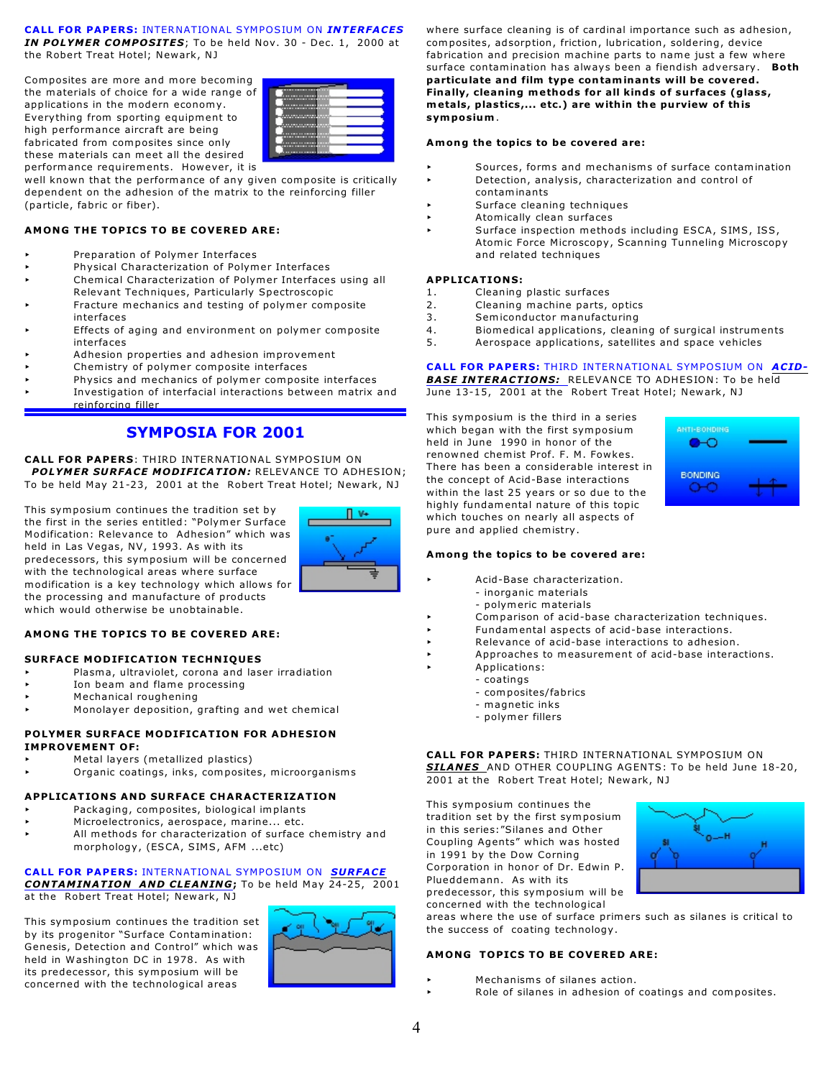#### **CALL FOR PAPERS:** INTERNATIONAL SYMPOSIUM ON *INTERFACES IN POLYMER COMPOSITES*; To be held Nov. 30 - Dec. 1, 2000 at the Robert Treat Hotel; Newark, NJ

Composites are more and more becoming the materials of choice for a wide range of applications in the modern economy. Everything from sporting equipment to high performance aircra ft are being fabricated from composites since only these materials can meet all the desired performance requirements. However, it is



well known that the performance of any given composite is critically dependent on the adhesion of the matrix to the reinforcing filler (particle, fabric or fiber).

### **AMONG THE TOPICS TO BE COVERED ARE:**

- < Preparation of Polymer Interfaces
- < Physical Characterization of Polymer Interfaces
- < Chemical Characterization of Polymer Interfaces using all Relevant Techniques, Particularly Spectroscopic
- Fracture mechanics and testing of polymer composite interfaces
- < Effects of aging and environment on polymer composite interfaces
- < Adhesion properties and adhesion improvement
- Chemistry of polymer composite interfaces
- Physics and mechanics of polymer composite interfaces < Investigation of interfacial interactions between matrix and
	- rein forcing filler

# **SYMPOSIA FOR 2001**

**CALL FOR PAPERS: THIRD INTERNATIONAL SYMPOSIUM ON POLYMER SURFACE MODIFICATION: RELEVANCE TO ADHESION;** To be held May 21-23, 2001 at the Robert Treat Hotel; Newark, NJ

This symposium continues the tradition set by the first in the series entitled: "Polymer Surface Modification: Relevance to Adhesion" which was held in Las Vegas, NV, 1993. As with its predecessors, this symposium will be concerned with the technological areas where surface modification is a key technology which allows for the processing and manufacture of products which would otherwise be unobtainable .



#### **AMONG THE TOPICS TO BE COVERED ARE:**

#### **SURFACE MODIFICATION TECHNIQUES**

- Plasma, ultraviolet, corona and laser irradiation
- Ion beam and flame processing
- < Mechanical roughening
- Monolayer deposition, grafting and wet chemical

#### **POLYMER SURFACE MODIFICATION FOR ADHESION IMPROVEMENT OF:**

- < Metal layers (metallized plastics)
- < Organic coatings, inks, composites, microorganisms

#### **APPLICATIONS AND SURFACE CHARACTERIZATION**

- Packaging, composites, biological implants
- Microelectronics, aerospace, marine... etc.
- All methods for characterization of surface chemistry and morphology, (ESCA, SIMS, AFM ...etc)

# CALL FOR PAPERS: INTERNATIONAL SYMPOSIUM ON **SURFACE** *CONTAMINATION AND CLEANING***;** To be held May 24-25, 2001

at the Robert Treat Hotel; Newark, NJ

This symposium continues the tradition set by its progenitor "Surface Contamination: Genesis, Detection and Control" which was held in Washington DC in 1978. As with its predecessor, this symposium will be concerned with the technological areas



where surface cleaning is of cardinal importance such as adhesion, composites, adsorption, friction, lubrication, soldering, device fabrication and precision machine parts to name just a few where surface contamination has always been a fiendish adversary. **Both particulate and film type contaminants will be covered.** Finally, cleaning methods for all kinds of surfaces (glass, **metals, plastics,... etc.) are within the purview of this symposium**.

#### **Among the topics to be covered are:**

- Sources, forms and mechanisms of surface contamination
- < Detection, analysis, characterization and control of contaminants
- Surface cleaning techniques
- < Atomically clean surfaces
- Surface inspection methods including ESCA, SIMS, ISS, Atomic Force Microscopy, Scanning Tunneling Microscopy and related techniques

#### **APPLICATIONS:**

- 1. Cleaning plastic surfaces
- 2. Cleaning machine parts, optics<br>3. Semiconductor manufacturing
- Semiconductor manufacturing
- 4. Biomedical applications, cleaning of surgical instruments
- 5 . Aerospace applications, satellites and space vehicles

#### CALL FOR PAPERS: THIRD INTERNATIONAL SYMPOSIUM ON ACID-

*BASE INTERACTIONS:* RELEVANCE TO ADHESION: To be held June 13-15, 2001 at the Robert Treat Hotel; Newark, NJ

This symposium is the third in a series which began with the first symposium held in June 1990 in honor of the renowned chemist Prof. F. M. Fowkes. There has been a considerable interest in the concept of Acid-Base interactions within the last 25 years or so due to the highly fundamental nature of this topic which touches on nearly all aspects of pure and applied chemistry.



#### **Among the topics to be covered are:**

- < Acid-Base characterization.
	- inorganic materials
	- polymeric materials
- Comparison of acid-base characterization techniques.
- < Fundamental aspects of acid-base interactions.
- Relevance of acid-base interactions to adhesion.
- < Approaches to measurement of acid-base interactions.
	- < Applications:
		- coatings
			- composites/fabrics
		- magnetic inks
		- polymer fillers

**CALL FOR PAPERS:** THIRD INTERNATIONAL SYMPOSIUM ON *SILANES* AND OTHER COUPLING AGENTS: To be held June 18-20, 2001 at the Robert Treat Hotel; Newark, NJ

This symposium continues the tradition set by the first symposium in this series:"Silanes and Other Coupling Agents" which was hosted in 1991 by the Dow Corning Corporation in honor of Dr. Edwin P. Plueddemann. As with its predecessor, this symposium will be

concerned with the technological



areas where the use of surface primers such as silanes is critical to the success of coating technology.

#### **AMONG TOPICS TO BE COVERED ARE:**

- Mechanisms of silanes action.
- Role of silanes in adhesion of coatings and composites.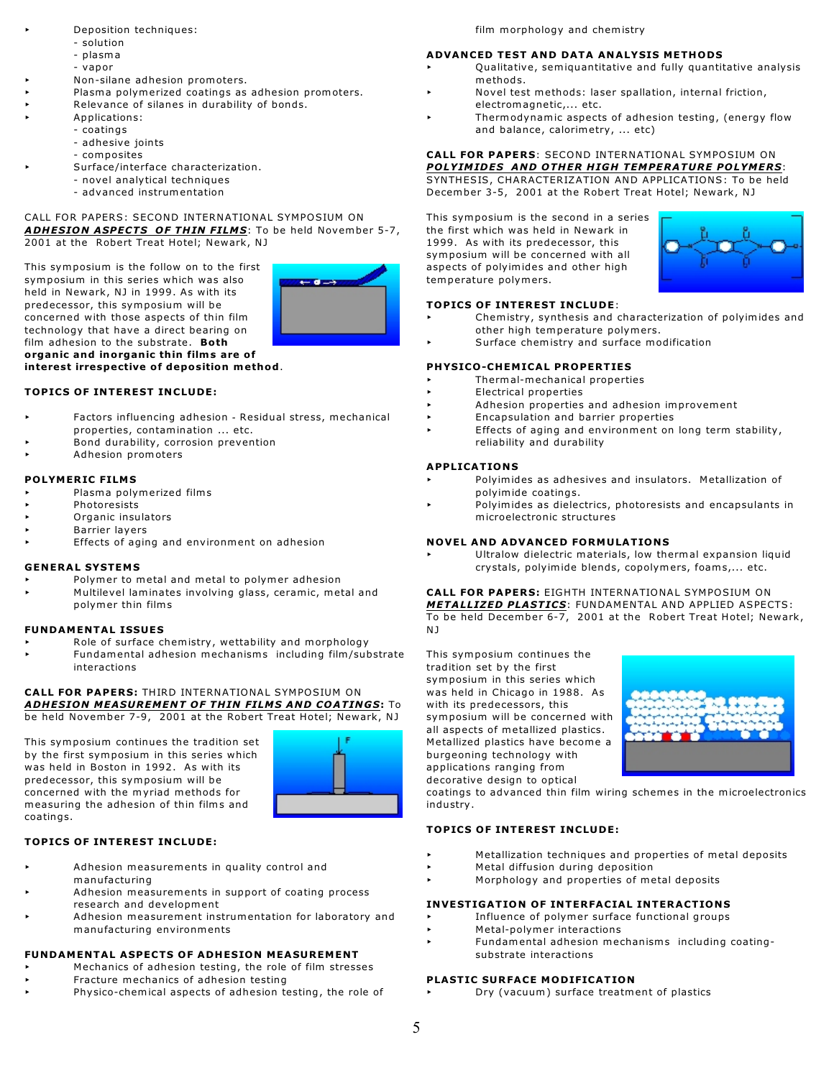- < Deposition techniques:
- solution
	- plasm a
	- vapor
- < Non-silane adhesion promoters.
- Plasma polymerized coatings as adhesion promoters.
- Relevance of silanes in durability of bonds.
- < Applications:
- coatings
	- adhesive joints
	- composites
	- Surface/interface characterization.
		- novel analytical techniques
		- advanced instrumentation

#### CALL FOR PAPERS: SECOND INTERNATIONAL SYMPOSIUM ON ADHESION ASPECTS OF THIN FILMS: To be held November 5-7, 2001 at the Robert Treat Hotel; Newark, NJ

This symposium is the follow on to the first symposium in this series which was also held in Newark, NJ in 1999. As with its predecessor, this symposium will be concerned with those aspects of thin film technology that have a direct bearing on film adhesion to the substrate. **Both organ ic and inorgan ic th in films are of interest irrespective of deposition method**.



#### **TOPICS OF INTEREST INCLUDE:**

- Factors influencing adhesion Residual stress, mechanical properties, contamination ... etc.
- Bond durability, corrosion prevention
- < Adhesion promoters

#### **PO LYMERIC FILM S**

- < Plasma polymerized films
- **Photoresists**
- < Organic insulators
- < Barrier layers
- < Effects of aging and environment on adhesion

#### **GENERAL SYSTEMS**

- Polymer to metal and metal to polymer adhesion
- < Multilevel laminates involving glass, ceramic, metal and polymer thin films

#### **FUNDAMENTAL ISSUES**

- Role of surface chemistry, wettability and morphology
- < Fundamental adhesion mechanisms including film/substrate interactions

#### **CALL FOR PAPERS:** THIRD INTERNATIONAL SYMPOSIUM ON *ADHESION MEA SUREMENT OF TH IN FILM S AND COATINGS***:** To be held November 7-9, 2001 at the Robert Treat Hotel; Newark, NJ

This symposium continues the tradition set by the first symposium in this series which was held in Boston in 1992. As with its predecessor, this symposium will be concerned with the myriad methods for measuring the adhesion of thin films and coatings.



#### **TOPICS OF INTEREST INCLUDE:**

- < Adhesion measurements in quality control and manufacturing
- Adhesion measurements in support of coating process research and development
- < Adhesion measurement instrumentation for laboratory and manufacturing environments

#### **FUNDAMENTAL ASPECTS OF ADHESION MEASUREMENT**

- Mechanics of adhesion testing, the role of film stresses
- < Fracture mechanics of adhesion testing
- Physico-chemical aspects of adhesion testing, the role of

film morphology and chemistry

### **ADVANCED TEST AND DATA ANALYSIS METHODS**

- < Qualitative, semiquantitative and fully quantitative analysis methods.
- Novel test methods: laser spallation, internal friction, electromagnetic,... etc.
- Thermodynamic aspects of adhesion testing, (energy flow and balance, calorimetry, ... etc)

#### **CALL FOR PAPERS: SECOND INTERNATIONAL SYMPOSIUM ON** POLYIMIDES AND OTHER HIGH TEMPERATURE POLYMERS: SYNTHESIS, CHARACTERIZATION AND APPLICATIONS: To be held

December 3-5, 2001 at the Robert Treat Hotel; Newark, NJ

This symposium is the second in a series the first which was held in Newark in 1999. As with its predecessor, this symposium will be concerned with all aspects of polyimides and other high temperature polymers.



#### **TOPICS OF INTEREST INCLUDE**:

- Chemistry, synthesis and characterization of polyimides and other high temperature polymers.
- Surface chemistry and surface modification

#### **PHYSICO-CHEMICAL PROPERTIES**

- < Thermal-mechanical properties
- < Electrical properties
- < Adhesion properties and adhesion improvement
- < Encapsulation and barrier properties
- Effects of aging and environment on long term stability, reliability and durability

#### **APPLICATIONS**

- Polyimides as adhesives and insulators. Metallization of polyimide coatings.
- Polyimides as dielectrics, photoresists and encapsulants in microelectronic structures

#### **NOVEL AND ADVANCED FORMULATIONS**

< Ultralow dielectric materials, low thermal expansion liquid crystals, polyimide blends, copolymers, foams,... etc.

**CALL FOR PAPERS:** EIGHTH INTERNATIONAL SYMPOSIUM ON *METALLIZED PLASTICS*: FUNDAMENTAL AND APPLIED ASPECTS: To be held December 6-7, 2001 at the Robert Treat Hotel; Newark, N J

This symposium continues the tradition set by the first symposium in this series which was held in Chicago in 1988. As with its predecessors, this symposium will be concerned with all aspects of metallized plastics. Metallized plastics have become a burgeoning technology with applications ranging from decorative design to optical



coatings to advanced thin film wiring schemes in the microelectronics industry .

#### **TOPICS OF INTEREST INCLUDE:**

- < Metallization techniques and properties of metal deposits
- < Metal diffusion during deposition
- < Morphology and properties of metal deposits

#### **INVE ST IGATION OF INTERFA CIAL INTERACT IONS**

- < In fluence of polymer surface functional groups
- < Metal-polymer interactions
- < Fundamental adhesion mechanisms including coatingsubstrate interactions

#### **PLASTIC SURFACE MODIFICATION**

< Dry (vacuum) surface treatment of plastics